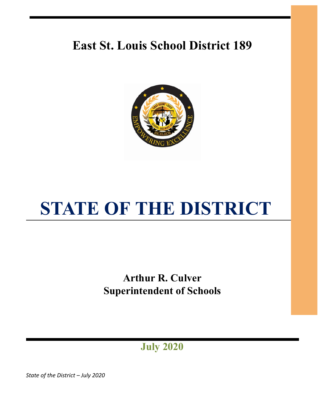# **East St. Louis School District 189**



# **STATE OF THE DISTRICT**

**Arthur R. Culver Superintendent of Schools** 

**July 2020** 

*State of the District – July 2020*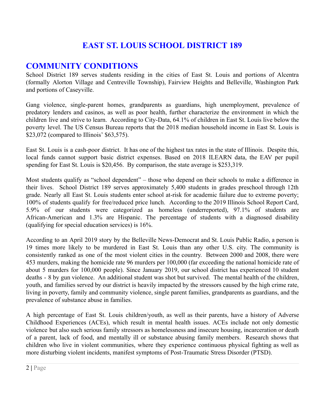# **EAST ST. LOUIS SCHOOL DISTRICT 189**

### **COMMUNITY CONDITIONS**

School District 189 serves students residing in the cities of East St. Louis and portions of Alcentra (formally Alorton Village and Centreville Township), Fairview Heights and Belleville, Washington Park and portions of Caseyville.

Gang violence, single-parent homes, grandparents as guardians, high unemployment, prevalence of predatory lenders and casinos, as well as poor health, further characterize the environment in which the children live and strive to learn. According to City-Data, 64.1% of children in East St. Louis live below the poverty level. The US Census Bureau reports that the 2018 median household income in East St. Louis is \$23,072 (compared to Illinois' \$63,575).

East St. Louis is a cash-poor district. It has one of the highest tax rates in the state of Illinois. Despite this, local funds cannot support basic district expenses. Based on 2018 ILEARN data, the EAV per pupil spending for East St. Louis is \$20,456. By comparison, the state average is \$253,319.

Most students qualify as "school dependent" – those who depend on their schools to make a difference in their lives. School District 189 serves approximately 5,400 students in grades preschool through 12th grade. Nearly all East St. Louis students enter school at-risk for academic failure due to extreme poverty; 100% of students qualify for free/reduced price lunch. According to the 2019 Illinois School Report Card, 5.9% of our students were categorized as homeless (underreported), 97.1% of students are African-American and 1.3% are Hispanic. The percentage of students with a diagnosed disability (qualifying for special education services) is 16%.

According to an April 2019 story by the Belleville News-Democrat and St. Louis Public Radio, a person is 19 times more likely to be murdered in East St. Louis than any other U.S. city. The community is consistently ranked as one of the most violent cities in the country. Between 2000 and 2008, there were 453 murders, making the homicide rate 96 murders per 100,000 (far exceeding the national homicide rate of about 5 murders for 100,000 people). Since January 2019, our school district has experienced 10 student deaths - 8 by gun violence. An additional student was shot but survived. The mental health of the children, youth, and families served by our district is heavily impacted by the stressors caused by the high crime rate, living in poverty, family and community violence, single parent families, grandparents as guardians, and the prevalence of substance abuse in families.

A high percentage of East St. Louis children/youth, as well as their parents, have a history of Adverse Childhood Experiences (ACEs), which result in mental health issues. ACEs include not only domestic violence but also such serious family stressors as homelessness and insecure housing, incarceration or death of a parent, lack of food, and mentally ill or substance abusing family members. Research shows that children who live in violent communities, where they experience continuous physical fighting as well as more disturbing violent incidents, manifest symptoms of Post-Traumatic Stress Disorder (PTSD).

<sup>2</sup> **|** Page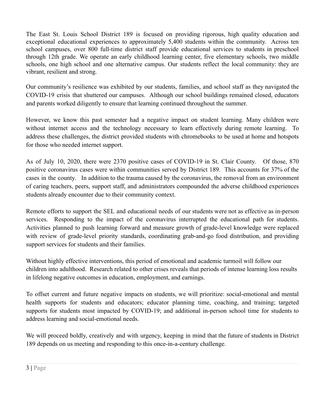The East St. Louis School District 189 is focused on providing rigorous, high quality education and exceptional educational experiences to approximately 5,400 students within the community. Across ten school campuses, over 800 full-time district staff provide educational services to students in preschool through 12th grade. We operate an early childhood learning center, five elementary schools, two middle schools, one high school and one alternative campus. Our students reflect the local community: they are vibrant, resilient and strong.

Our community's resilience was exhibited by our students, families, and school staff as they navigated the COVID-19 crisis that shuttered our campuses. Although our school buildings remained closed, educators and parents worked diligently to ensure that learning continued throughout the summer.

However, we know this past semester had a negative impact on student learning. Many children were without internet access and the technology necessary to learn effectively during remote learning. To address these challenges, the district provided students with chromebooks to be used at home and hotspots for those who needed internet support.

As of July 10, 2020, there were 2370 positive cases of COVID-19 in St. Clair County. Of those, 870 positive coronavirus cases were within communities served by District 189. This accounts for 37% of the cases in the county. In addition to the trauma caused by the coronavirus, the removal from an environment of caring teachers, peers, support staff, and administrators compounded the adverse childhood experiences students already encounter due to their community context.

Remote efforts to support the SEL and educational needs of our students were not as effective as in-person services. Responding to the impact of the coronavirus interrupted the educational path for students. Activities planned to push learning forward and measure growth of grade-level knowledge were replaced with review of grade-level priority standards, coordinating grab-and-go food distribution, and providing support services for students and their families.

Without highly effective interventions, this period of emotional and academic turmoil will follow our children into adulthood. Research related to other crises reveals that periods of intense learning loss results in lifelong negative outcomes in education, employment, and earnings.

To offset current and future negative impacts on students, we will prioritize: social-emotional and mental health supports for students and educators; educator planning time, coaching, and training; targeted supports for students most impacted by COVID-19; and additional in-person school time for students to address learning and social-emotional needs.

We will proceed boldly, creatively and with urgency, keeping in mind that the future of students in District 189 depends on us meeting and responding to this once-in-a-century challenge.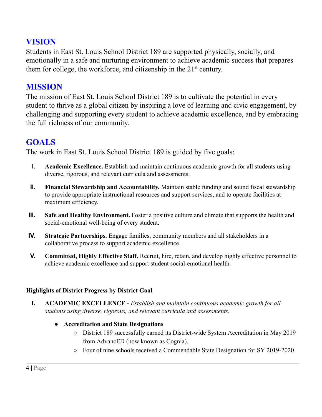# **VISION**

Students in East St. Louis School District 189 are supported physically, socially, and emotionally in a safe and nurturing environment to achieve academic success that prepares them for college, the workforce, and citizenship in the  $21<sup>st</sup>$  century.

## **MISSION**

The mission of East St. Louis School District 189 is to cultivate the potential in every student to thrive as a global citizen by inspiring a love of learning and civic engagement, by challenging and supporting every student to achieve academic excellence, and by embracing the full richness of our community.

# **GOALS**

The work in East St. Louis School District 189 is guided by five goals:

- **I. Academic Excellence.** Establish and maintain continuous academic growth for all students using diverse, rigorous, and relevant curricula and assessments.
- **II. Financial Stewardship and Accountability.** Maintain stable funding and sound fiscal stewardship to provide appropriate instructional resources and support services, and to operate facilities at maximum efficiency.
- **III. Safe and Healthy Environment.** Foster a positive culture and climate that supports the health and social-emotional well-being of every student.
- **IV. Strategic Partnerships.** Engage families, community members and all stakeholders in a collaborative process to support academic excellence.
- **V. Committed, Highly Effective Staff.** Recruit, hire, retain, and develop highly effective personnel to achieve academic excellence and support student social-emotional health.

#### **Highlights of District Progress by District Goal**

**I. ACADEMIC EXCELLENCE -** *Establish and maintain continuous academic growth for all students using diverse, rigorous, and relevant curricula and assessments.* 

#### **● Accreditation and State Designations**

- District 189 successfully earned its District-wide System Accreditation in May 2019 from AdvancED (now known as Cognia).
- Four of nine schools received a Commendable State Designation for SY 2019-2020.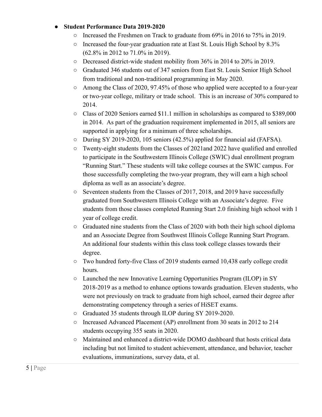#### **● Student Performance Data 2019-2020**

- Increased the Freshmen on Track to graduate from 69% in 2016 to 75% in 2019.
- Increased the four-year graduation rate at East St. Louis High School by 8.3% (62.8% in 2012 to 71.0% in 2019).
- Decreased district-wide student mobility from 36% in 2014 to 20% in 2019.
- Graduated 346 students out of 347 seniors from East St. Louis Senior High School from traditional and non-traditional programming in May 2020.
- Among the Class of 2020, 97.45% of those who applied were accepted to a four-year or two-year college, military or trade school. This is an increase of 30% compared to 2014.
- Class of 2020 Seniors earned \$11.1 million in scholarships as compared to \$389,000 in 2014. As part of the graduation requirement implemented in 2015, all seniors are supported in applying for a minimum of three scholarships.
- During SY 2019-2020, 105 seniors (42.5%) applied for financial aid (FAFSA).
- Twenty-eight students from the Classes of 2021and 2022 have qualified and enrolled to participate in the Southwestern Illinois College (SWIC) dual enrollment program "Running Start." These students will take college courses at the SWIC campus. For those successfully completing the two-year program, they will earn a high school diploma as well as an associate's degree.
- Seventeen students from the Classes of 2017, 2018, and 2019 have successfully graduated from Southwestern Illinois College with an Associate's degree. Five students from those classes completed Running Start 2.0 finishing high school with 1 year of college credit.
- $\circ$  Graduated nine students from the Class of 2020 with both their high school diploma and an Associate Degree from Southwest Illinois College Running Start Program. An additional four students within this class took college classes towards their degree.
- Two hundred forty-five Class of 2019 students earned 10,438 early college credit hours.
- Launched the new Innovative Learning Opportunities Program (ILOP) in SY 2018-2019 as a method to enhance options towards graduation. Eleven students, who were not previously on track to graduate from high school, earned their degree after demonstrating competency through a series of HiSET exams.
- Graduated 35 students through ILOP during SY 2019-2020.
- Increased Advanced Placement (AP) enrollment from 30 seats in 2012 to 214 students occupying 355 seats in 2020.
- Maintained and enhanced a district-wide DOMO dashboard that hosts critical data including but not limited to student achievement, attendance, and behavior, teacher evaluations, immunizations, survey data, et al.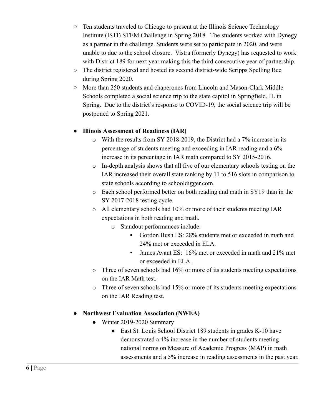- Ten students traveled to Chicago to present at the Illinois Science Technology Institute (ISTI) STEM Challenge in Spring 2018. The students worked with Dynegy as a partner in the challenge. Students were set to participate in 2020, and were unable to due to the school closure. Vistra (formerly Dynegy) has requested to work with District 189 for next year making this the third consecutive year of partnership.
- The district registered and hosted its second district-wide Scripps Spelling Bee during Spring 2020.
- More than 250 students and chaperones from Lincoln and Mason-Clark Middle Schools completed a social science trip to the state capitol in Springfield, IL in Spring. Due to the district's response to COVID-19, the social science trip will be postponed to Spring 2021.

#### **● Illinois Assessment of Readiness (IAR)**

- o With the results from SY 2018-2019, the District had a 7% increase in its percentage of students meeting and exceeding in IAR reading and a 6% increase in its percentage in IAR math compared to SY 2015-2016.
- o In-depth analysis shows that all five of our elementary schools testing on the IAR increased their overall state ranking by 11 to 516 slots in comparison to state schools according to schooldigger.com.
- o Each school performed better on both reading and math in SY19 than in the SY 2017-2018 testing cycle.
- o All elementary schools had 10% or more of their students meeting IAR expectations in both reading and math.
	- o Standout performances include:
		- Gordon Bush ES: 28% students met or exceeded in math and 24% met or exceeded in ELA.
		- James Avant ES: 16% met or exceeded in math and 21% met or exceeded in ELA.
- o Three of seven schools had 16% or more of its students meeting expectations on the IAR Math test.
- $\circ$  Three of seven schools had 15% or more of its students meeting expectations on the IAR Reading test.

#### **● Northwest Evaluation Association (NWEA)**

- Winter 2019-2020 Summary
	- East St. Louis School District 189 students in grades K-10 have demonstrated a 4% increase in the number of students meeting national norms on Measure of Academic Progress (MAP) in math assessments and a 5% increase in reading assessments in the past year.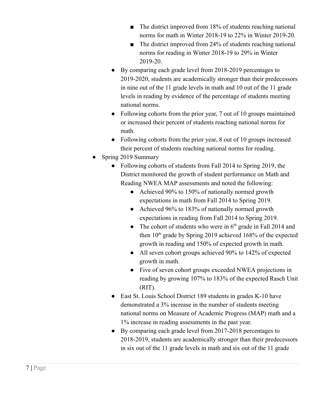- The district improved from 18% of students reaching national norms for math in Winter 2018-19 to 22% in Winter 2019-20.
- The district improved from 24% of students reaching national norms for reading in Winter 2018-19 to 29% in Winter 2019-20.
- By comparing each grade level from 2018-2019 percentages to 2019-2020, students are academically stronger than their predecessors in nine out of the 11 grade levels in math and 10 out of the 11 grade levels in reading by evidence of the percentage of students meeting national norms.
- Following cohorts from the prior year, 7 out of 10 groups maintained or increased their percent of students reaching national norms for math.
- Following cohorts from the prior year, 8 out of 10 groups increased their percent of students reaching national norms for reading.
- Spring 2019 Summary
	- Following cohorts of students from Fall 2014 to Spring 2019, the District monitored the growth of student performance on Math and Reading NWEA MAP assessments and noted the following:
		- Achieved 90% to 150% of nationally normed growth expectations in math from Fall 2014 to Spring 2019.
		- Achieved 96% to 183% of nationally normed growth expectations in reading from Fall 2014 to Spring 2019.
		- The cohort of students who were in  $6<sup>th</sup>$  grade in Fall 2014 and then  $10<sup>th</sup>$  grade by Spring 2019 achieved 168% of the expected growth in reading and 150% of expected growth in math.
		- All seven cohort groups achieved 90% to 142% of expected growth in math.
		- Five of seven cohort groups exceeded NWEA projections in reading by growing 107% to 183% of the expected Rasch Unit (RIT).
	- East St. Louis School District 189 students in grades K-10 have demonstrated a 3% increase in the number of students meeting national norms on Measure of Academic Progress (MAP) math and a 1% increase in reading assessments in the past year.
	- By comparing each grade level from 2017-2018 percentages to 2018-2019, students are academically stronger than their predecessors in six out of the 11 grade levels in math and six out of the 11 grade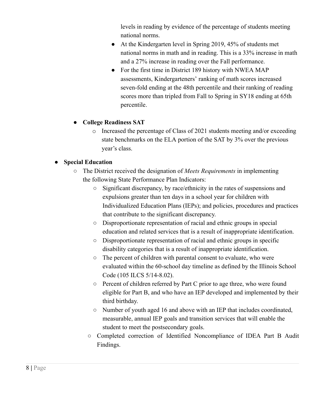levels in reading by evidence of the percentage of students meeting national norms.

- At the Kindergarten level in Spring 2019, 45% of students met national norms in math and in reading. This is a 33% increase in math and a 27% increase in reading over the Fall performance.
- For the first time in District 189 history with NWEA MAP assessments, Kindergarteners' ranking of math scores increased seven-fold ending at the 48th percentile and their ranking of reading scores more than tripled from Fall to Spring in SY18 ending at 65th percentile.

#### **● College Readiness SAT**

o Increased the percentage of Class of 2021 students meeting and/or exceeding state benchmarks on the ELA portion of the SAT by 3% over the previous year's class.

#### **● Special Education**

- The District received the designation of *Meets Requirements* in implementing the following State Performance Plan Indicators:
	- Significant discrepancy, by race/ethnicity in the rates of suspensions and expulsions greater than ten days in a school year for children with Individualized Education Plans (IEPs); and policies, procedures and practices that contribute to the significant discrepancy.
	- Disproportionate representation of racial and ethnic groups in special education and related services that is a result of inappropriate identification.
	- Disproportionate representation of racial and ethnic groups in specific disability categories that is a result of inappropriate identification.
	- The percent of children with parental consent to evaluate, who were evaluated within the 60-school day timeline as defined by the Illinois School Code (105 ILCS 5/14-8.02).
	- Percent of children referred by Part C prior to age three, who were found eligible for Part B, and who have an IEP developed and implemented by their third birthday.
	- Number of youth aged 16 and above with an IEP that includes coordinated, measurable, annual IEP goals and transition services that will enable the student to meet the postsecondary goals.
	- Completed correction of Identified Noncompliance of IDEA Part B Audit Findings.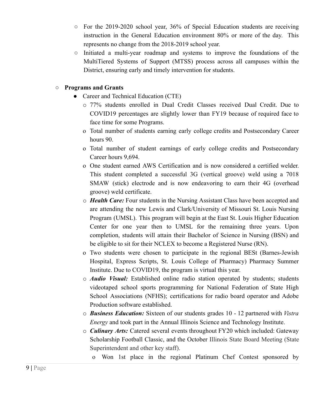- For the 2019-2020 school year, 36% of Special Education students are receiving instruction in the General Education environment 80% or more of the day. This represents no change from the 2018-2019 school year.
- Initiated a multi-year roadmap and systems to improve the foundations of the MultiTiered Systems of Support (MTSS) process across all campuses within the District, ensuring early and timely intervention for students.

#### **○ Programs and Grants**

- Career and Technical Education (CTE)
	- o 77% students enrolled in Dual Credit Classes received Dual Credit. Due to COVID19 percentages are slightly lower than FY19 because of required face to face time for some Programs.
	- o Total number of students earning early college credits and Postsecondary Career hours 90.
	- o Total number of student earnings of early college credits and Postsecondary Career hours 9,694.
	- o One student earned AWS Certification and is now considered a certified welder. This student completed a successful 3G (vertical groove) weld using a 7018 SMAW (stick) electrode and is now endeavoring to earn their 4G (overhead groove) weld certificate.
	- o *Health Care:* Four students in the Nursing Assistant Class have been accepted and are attending the new Lewis and Clark/University of Missouri St. Louis Nursing Program (UMSL). This program will begin at the East St. Louis Higher Education Center for one year then to UMSL for the remaining three years. Upon completion, students will attain their Bachelor of Science in Nursing (BSN) and be eligible to sit for their NCLEX to become a Registered Nurse (RN).
	- o Two students were chosen to participate in the regional BESt (Barnes-Jewish Hospital, Express Scripts, St. Louis College of Pharmacy) Pharmacy Summer Institute. Due to COVID19, the program is virtual this year.
	- o *Audio Visual:* Established online radio station operated by students; students videotaped school sports programming for National Federation of State High School Associations (NFHS); certifications for radio board operator and Adobe Production software established.
	- o *Business Education:* Sixteen of our students grades 10 12 partnered with *Vistra Energy* and took part in the Annual Illinois Science and Technology Institute.
	- o *Culinary Arts:* Catered several events throughout FY20 which included: Gateway Scholarship Football Classic, and the October Illinois State Board Meeting (State Superintendent and other key staff).
		- o Won 1st place in the regional Platinum Chef Contest sponsored by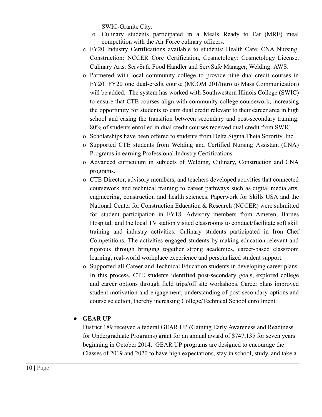SWIC-Granite City.

- o Culinary students participated in a Meals Ready to Eat (MRE) meal competition with the Air Force culinary officers.
- o FY20 Industry Certifications available to students: Health Care: CNA Nursing, Construction: NCCER Core Certification, Cosmetology: Cosmetology License, Culinary Arts: ServSafe Food Handler and ServSafe Manager, Welding: AWS.
- o Partnered with local community college to provide nine dual-credit courses in FY20. FY20 one dual-credit course (MCOM 201/Intro to Mass Communication) will be added. The system has worked with Southwestern Illinois College (SWIC) to ensure that CTE courses align with community college coursework, increasing the opportunity for students to earn dual credit relevant to their career area in high school and easing the transition between secondary and post-secondary training. 80% of students enrolled in dual credit courses received dual credit from SWIC.
- o Scholarships have been offered to students from Delta Sigma Theta Sorority, Inc.
- o Supported CTE students from Welding and Certified Nursing Assistant (CNA) Programs in earning Professional Industry Certifications.
- o Advanced curriculum in subjects of Welding, Culinary, Construction and CNA programs.
- o CTE Director, advisory members, and teachers developed activities that connected coursework and technical training to career pathways such as digital media arts, engineering, construction and health sciences. Paperwork for Skills USA and the National Center for Construction Education & Research (NCCER) were submitted for student participation in FY18. Advisory members from Ameren, Barnes Hospital, and the local TV station visited classrooms to conduct/facilitate soft skill training and industry activities. Culinary students participated in Iron Chef Competitions. The activities engaged students by making education relevant and rigorous through bringing together strong academics, career-based classroom learning, real-world workplace experience and personalized student support.
- o Supported all Career and Technical Education students in developing career plans. In this process, CTE students identified post-secondary goals, explored college and career options through field trips/off site workshops. Career plans improved student motivation and engagement, understanding of post-secondary options and course selection, thereby increasing College/Technical School enrollment.

#### **● GEAR UP**

District 189 received a federal GEAR UP (Gaining Early Awareness and Readiness for Undergraduate Programs) grant for an annual award of \$747,135 for seven years beginning in October 2014. GEAR UP programs are designed to encourage the Classes of 2019 and 2020 to have high expectations, stay in school, study, and take a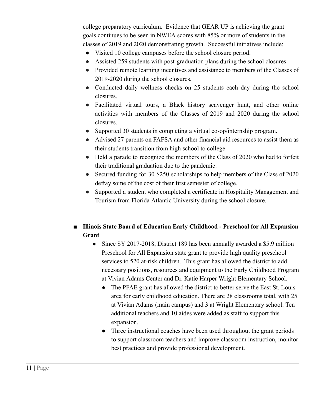college preparatory curriculum *.* Evidence that GEAR UP is achieving the grant goals continues to be seen in NWEA scores with 85% or more of students in the classes of 2019 and 2020 demonstrating growth. Successful initiatives include:

- Visited 10 college campuses before the school closure period.
- Assisted 259 students with post-graduation plans during the school closures.
- Provided remote learning incentives and assistance to members of the Classes of 2019-2020 during the school closures.
- Conducted daily wellness checks on 25 students each day during the school closures.
- Facilitated virtual tours, a Black history scavenger hunt, and other online activities with members of the Classes of 2019 and 2020 during the school closures.
- Supported 30 students in completing a virtual co-op/internship program.
- Advised 27 parents on FAFSA and other financial aid resources to assist them as their students transition from high school to college.
- Held a parade to recognize the members of the Class of 2020 who had to forfeit their traditional graduation due to the pandemic.
- Secured funding for 30 \$250 scholarships to help members of the Class of 2020 defray some of the cost of their first semester of college.
- Supported a student who completed a certificate in Hospitality Management and Tourism from Florida Atlantic University during the school closure.

#### ■ **Illinois State Board of Education Early Childhood - Preschool for All Expansion Grant**

- Since SY 2017-2018, District 189 has been annually awarded a \$5.9 million Preschool for All Expansion state grant to provide high quality preschool services to 520 at-risk children. This grant has allowed the district to add necessary positions, resources and equipment to the Early Childhood Program at Vivian Adams Center and Dr. Katie Harper Wright Elementary School.
	- The PFAE grant has allowed the district to better serve the East St. Louis area for early childhood education. There are 28 classrooms total, with 25 at Vivian Adams (main campus) and 3 at Wright Elementary school. Ten additional teachers and 10 aides were added as staff to support this expansion.
	- Three instructional coaches have been used throughout the grant periods to support classroom teachers and improve classroom instruction, monitor best practices and provide professional development.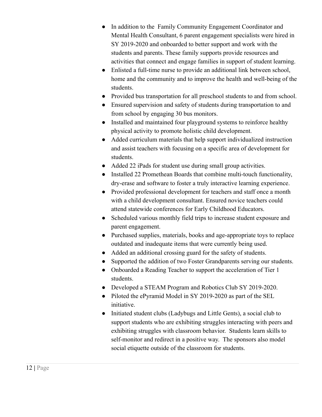- In addition to the Family Community Engagement Coordinator and Mental Health Consultant, 6 parent engagement specialists were hired in SY 2019-2020 and onboarded to better support and work with the students and parents. These family supports provide resources and activities that connect and engage families in support of student learning.
- Enlisted a full-time nurse to provide an additional link between school, home and the community and to improve the health and well-being of the students.
- Provided bus transportation for all preschool students to and from school.
- Ensured supervision and safety of students during transportation to and from school by engaging 30 bus monitors.
- Installed and maintained four playground systems to reinforce healthy physical activity to promote holistic child development.
- Added curriculum materials that help support individualized instruction and assist teachers with focusing on a specific area of development for students.
- Added 22 iPads for student use during small group activities.
- Installed 22 Promethean Boards that combine multi-touch functionality, dry-erase and software to foster a truly interactive learning experience.
- Provided professional development for teachers and staff once a month with a child development consultant. Ensured novice teachers could attend statewide conferences for Early Childhood Educators.
- Scheduled various monthly field trips to increase student exposure and parent engagement.
- Purchased supplies, materials, books and age-appropriate toys to replace outdated and inadequate items that were currently being used.
- Added an additional crossing guard for the safety of students.
- Supported the addition of two Foster Grandparents serving our students.
- Onboarded a Reading Teacher to support the acceleration of Tier 1 students.
- Developed a STEAM Program and Robotics Club SY 2019-2020.
- Piloted the ePyramid Model in SY 2019-2020 as part of the SEL initiative.
- Initiated student clubs (Ladybugs and Little Gents), a social club to support students who are exhibiting struggles interacting with peers and exhibiting struggles with classroom behavior. Students learn skills to self-monitor and redirect in a positive way. The sponsors also model social etiquette outside of the classroom for students.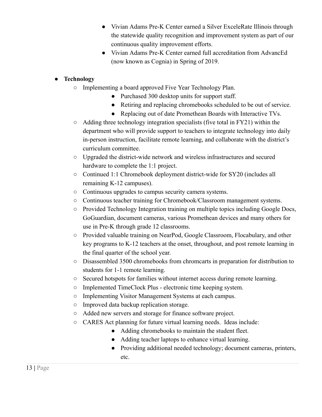- Vivian Adams Pre-K Center earned a Silver ExceleRate Illinois through the statewide quality recognition and improvement system as part of our continuous quality improvement efforts.
- Vivian Adams Pre-K Center earned full accreditation from AdvancEd (now known as Cognia) in Spring of 2019.

#### **● Technology**

- Implementing a board approved Five Year Technology Plan.
	- Purchased 300 desktop units for support staff.
	- Retiring and replacing chromebooks scheduled to be out of service.
	- Replacing out of date Promethean Boards with Interactive TVs.
- $\circ$  Adding three technology integration specialists (five total in FY21) within the department who will provide support to teachers to integrate technology into daily in-person instruction, facilitate remote learning, and collaborate with the district's curriculum committee.
- Upgraded the district-wide network and wireless infrastructures and secured hardware to complete the 1:1 project.
- Continued 1:1 Chromebook deployment district-wide for SY20 (includes all remaining K-12 campuses).
- Continuous upgrades to campus security camera systems.
- Continuous teacher training for Chromebook/Classroom management systems.
- Provided Technology Integration training on multiple topics including Google Docs, GoGuardian, document cameras, various Promethean devices and many others for use in Pre-K through grade 12 classrooms.
- Provided valuable training on NearPod, Google Classroom, Flocabulary, and other key programs to K-12 teachers at the onset, throughout, and post remote learning in the final quarter of the school year.
- Disassembled 3500 chromebooks from chromcarts in preparation for distribution to students for 1-1 remote learning.
- Secured hotspots for families without internet access during remote learning.
- Implemented TimeClock Plus electronic time keeping system.
- Implementing Visitor Management Systems at each campus.
- Improved data backup replication storage.
- Added new servers and storage for finance software project.
- CARES Act planning for future virtual learning needs. Ideas include:
	- Adding chromebooks to maintain the student fleet.
	- Adding teacher laptops to enhance virtual learning.
	- Providing additional needed technology; document cameras, printers, etc.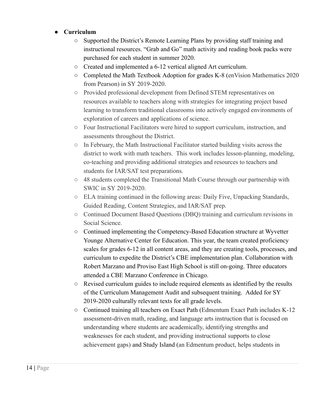#### **● Curriculum**

- Supported the District's Remote Learning Plans by providing staff training and instructional resources. "Grab and Go" math activity and reading book packs were purchased for each student in summer 2020.
- Created and implemented a 6-12 vertical aligned Art curriculum.
- Completed the Math Textbook Adoption for grades K-8 ( enVision Mathematics 2020 from Pearson) in SY 2019-2020.
- Provided professional development from Defined STEM representatives on resources available to teachers along with strategies for integrating project based learning to transform traditional classrooms into actively engaged environments of exploration of careers and applications of science.
- Four Instructional Facilitators were hired to support curriculum, instruction, and assessments throughout the District.
- In February, the Math Instructional Facilitator started building visits across the district to work with math teachers. This work includes lesson-planning, modeling, co-teaching and providing additional strategies and resources to teachers and students for IAR/SAT test preparations.
- 48 students completed the Transitional Math Course through our partnership with SWIC in SY 2019-2020.
- ELA training continued in the following areas: Daily Five, Unpacking Standards, Guided Reading, Content Strategies, and IAR/SAT prep.
- Continued Document Based Questions (DBQ) training and curriculum revisions in Social Science.
- Continued implementing the Competency-Based Education structure at Wyvetter Younge Alternative Center for Education. This year, the team created proficiency scales for grades 6-12 in all content areas, and they are creating tools, processes, and curriculum to expedite the District's CBE implementation plan. Collaboration with Robert Marzano and Proviso East High School is still on-going. Three educators attended a CBE Marzano Conference in Chicago.
- Revised curriculum guides to include required elements as identified by the results of the Curriculum Management Audit and subsequent training. Added for SY 2019-2020 culturally relevant texts for all grade levels.
- Continued training all teachers on Exact Path ( Edmentum Exact Path includes K-12 assessment-driven math, reading, and language arts instruction that is focused on understanding where students are academically, identifying strengths and weaknesses for each student, and providing instructional supports to close achievement gaps) and Study Island ( an Edmentum product, helps students in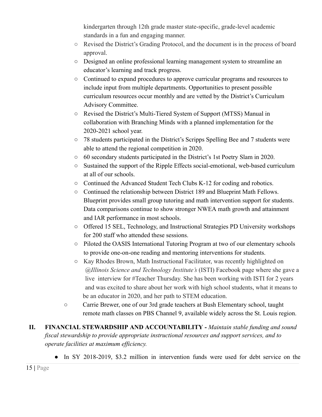kindergarten through 12th grade master state-specific, grade-level academic standards in a fun and engaging manner.

- Revised the District's Grading Protocol, and the document is in the process of board approval.
- Designed an online professional learning management system to streamline an educator's learning and track progress.
- Continued to expand procedures to approve curricular programs and resources to include input from multiple departments. Opportunities to present possible curriculum resources occur monthly and are vetted by the District's Curriculum Advisory Committee.
- Revised the District's Multi-Tiered System of Support (MTSS) Manual in collaboration with Branching Minds with a planned implementation for the 2020-2021 school year.
- 78 students participated in the District's Scripps Spelling Bee and 7 students were able to attend the regional competition in 2020.
- 60 secondary students participated in the District's 1st Poetry Slam in 2020.
- Sustained the support of the Ripple Effects social-emotional, web-based curriculum at all of our schools.
- Continued the Advanced Student Tech Clubs K-12 for coding and robotics.
- Continued the relationship between District 189 and Blueprint Math Fellows. Blueprint provides small group tutoring and math intervention support for students. Data comparisons continue to show stronger NWEA math growth and attainment and IAR performance in most schools.
- Offered 15 SEL, Technology, and Instructional Strategies PD University workshops for 200 staff who attended these sessions.
- Piloted the OASIS International Tutoring Program at two of our elementary schools to provide one-on-one reading and mentoring interventions for students.
- Kay Rhodes Brown, Math Instructional Facilitator, was recently highlighted on *@Illinois Science and Technology Institute's* (ISTI) Facebook page where she gave a live interview for #Teacher Thursday. She has been working with ISTI for 2 years and was excited to share about her work with high school students, what it means to be an educator in 2020, and her path to STEM education.
- Carrie Brewer, one of our 3rd grade teachers at Bush Elementary school, taught remote math classes on PBS Channel 9, available widely across the St. Louis region.
- **II. FINANCIAL STEWARDSHIP AND ACCOUNTABILITY** *Maintain stable funding and sound fiscal stewardship to provide appropriate instructional resources and support services, and to operate facilities at maximum efficiency.* 
	- In SY 2018-2019, \$3.2 million in intervention funds were used for debt service on the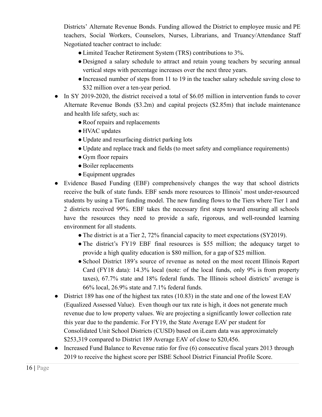Districts' Alternate Revenue Bonds. Funding allowed the District to employee music and PE teachers, Social Workers, Counselors, Nurses, Librarians, and Truancy/Attendance Staff Negotiated teacher contract to include:

- ●Limited Teacher Retirement System (TRS) contributions to 3%.
- Designed a salary schedule to attract and retain young teachers by securing annual vertical steps with percentage increases over the next three years.
- ●Increased number of steps from 11 to 19 in the teacher salary schedule saving close to \$32 million over a ten-year period.
- In SY 2019-2020, the district received a total of \$6.05 million in intervention funds to cover Alternate Revenue Bonds (\$3.2m) and capital projects (\$2.85m) that include maintenance and health life safety, such as:
	- Roof repairs and replacements
	- HVAC updates
	- Update and resurfacing district parking lots
	- Update and replace track and fields (to meet safety and compliance requirements)
	- Gym floor repairs
	- ●Boiler replacements
	- Equipment upgrades
- Evidence Based Funding (EBF) comprehensively changes the way that school districts receive the bulk of state funds. EBF sends more resources to Illinois' most under-resourced students by using a Tier funding model. The new funding flows to the Tiers where Tier 1 and 2 districts received 99%. EBF takes the necessary first steps toward ensuring all schools have the resources they need to provide a safe, rigorous, and well-rounded learning environment for all students.
	- The district is at a Tier 2, 72% financial capacity to meet expectations (SY2019).
	- The district's FY19 EBF final resources is \$55 million; the adequacy target to provide a high quality education is \$80 million, for a gap of \$25 million.
	- ●School District 189's source of revenue as noted on the most recent Illinois Report Card (FY18 data): 14.3% local (note: of the local funds, only 9% is from property taxes), 67.7% state and 18% federal funds. The Illinois school districts' average is 66% local, 26.9% state and 7.1% federal funds.
- District 189 has one of the highest tax rates (10.83) in the state and one of the lowest EAV (Equalized Assessed Value). Even though our tax rate is high, it does not generate much revenue due to low property values. We are projecting a significantly lower collection rate this year due to the pandemic. For FY19, the State Average EAV per student for Consolidated Unit School Districts (CUSD) based on iLearn data was approximately \$253,319 compared to District 189 Average EAV of close to \$20,456.
- Increased Fund Balance to Revenue ratio for five (6) consecutive fiscal years 2013 through 2019 to receive the highest score per ISBE School District Financial Profile Score.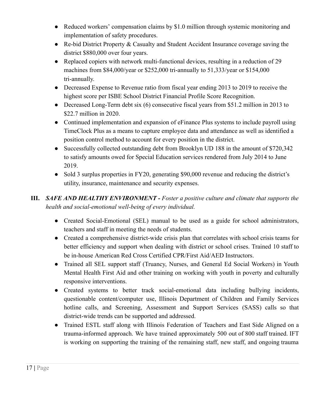- Reduced workers' compensation claims by \$1.0 million through systemic monitoring and implementation of safety procedures.
- Re-bid District Property & Casualty and Student Accident Insurance coverage saving the district \$880,000 over four years.
- Replaced copiers with network multi-functional devices, resulting in a reduction of 29 machines from \$84,000/year or \$252,000 tri-annually to 51,333/year or \$154,000 tri-annually.
- Decreased Expense to Revenue ratio from fiscal year ending 2013 to 2019 to receive the highest score per ISBE School District Financial Profile Score Recognition.
- Decreased Long-Term debt six (6) consecutive fiscal years from \$51.2 million in 2013 to \$22.7 million in 2020.
- Continued implementation and expansion of eFinance Plus systems to include payroll using TimeClock Plus as a means to capture employee data and attendance as well as identified a position control method to account for every position in the district.
- Successfully collected outstanding debt from Brooklyn UD 188 in the amount of \$720,342 to satisfy amounts owed for Special Education services rendered from July 2014 to June 2019.
- Sold 3 surplus properties in FY20, generating \$90,000 revenue and reducing the district's utility, insurance, maintenance and security expenses.
- **III.** *SAFE AND HEALTHY ENVIRONMENT Foster a positive culture and climate that supports the health and social-emotional well-being of every individual.* 
	- Created Social-Emotional (SEL) manual to be used as a guide for school administrators, teachers and staff in meeting the needs of students.
	- Created a comprehensive district-wide crisis plan that correlates with school crisis teams for better efficiency and support when dealing with district or school crises. Trained 10 staff to be in-house American Red Cross Certified CPR/First Aid/AED Instructors.
	- Trained all SEL support staff (Truancy, Nurses, and General Ed Social Workers) in Youth Mental Health First Aid and other training on working with youth in poverty and culturally responsive interventions.
	- Created systems to better track social-emotional data including bullying incidents, questionable content/computer use, Illinois Department of Children and Family Services hotline calls, and Screening, Assessment and Support Services (SASS) calls so that district-wide trends can be supported and addressed.
	- Trained ESTL staff along with Illinois Federation of Teachers and East Side Aligned on a trauma-informed approach. We have trained approximately 500 out of 800 staff trained. IFT is working on supporting the training of the remaining staff, new staff, and ongoing trauma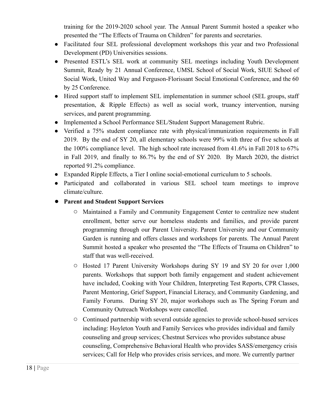training for the 2019-2020 school year. The Annual Parent Summit hosted a speaker who presented the "The Effects of Trauma on Children" for parents and secretaries.

- Facilitated four SEL professional development workshops this year and two Professional Development (PD) Universities sessions.
- Presented ESTL's SEL work at community SEL meetings including Youth Development Summit, Ready by 21 Annual Conference, UMSL School of Social Work, SIUE School of Social Work, United Way and Ferguson-Florissant Social Emotional Conference, and the 60 by 25 Conference.
- Hired support staff to implement SEL implementation in summer school (SEL groups, staff presentation, & Ripple Effects) as well as social work, truancy intervention, nursing services, and parent programming.
- Implemented a School Performance SEL/Student Support Management Rubric.
- Verified a 75% student compliance rate with physical/immunization requirements in Fall 2019. By the end of SY 20, all elementary schools were 99% with three of five schools at the 100% compliance level. The high school rate increased from 41.6% in Fall 2018 to 67% in Fall 2019, and finally to 86.7% by the end of SY 2020. By March 2020, the district reported 91.2% compliance.
- Expanded Ripple Effects, a Tier I online social-emotional curriculum to 5 schools.
- Participated and collaborated in various SEL school team meetings to improve climate/culture.
- **● Parent and Student Support Services** 
	- **○** Maintained a Family and Community Engagement Center to centralize new student enrollment, better serve our homeless students and families, and provide parent programming through our Parent University. Parent University and our Community Garden is running and offers classes and workshops for parents. The Annual Parent Summit hosted a speaker who presented the "The Effects of Trauma on Children" to staff that was well-received.
	- **○** Hosted 17 Parent University Workshops during SY 19 and SY 20 for over 1,000 parents. Workshops that support both family engagement and student achievement have included, Cooking with Your Children, Interpreting Test Reports, CPR Classes, Parent Mentoring, Grief Support, Financial Literacy, and Community Gardening, and Family Forums. During SY 20, major workshops such as The Spring Forum and Community Outreach Workshops were cancelled.
	- **○** Continued partnership with several outside agencies to provide school-based services including: Hoyleton Youth and Family Services who provides individual and family counseling and group services; Chestnut Services who provides substance abuse counseling, Comprehensive Behavioral Health who provides SASS/emergency crisis services; Call for Help who provides crisis services, and more. We currently partner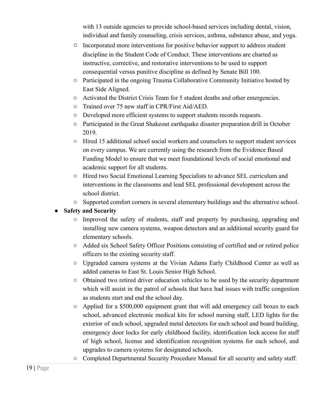with 13 outside agencies to provide school-based services including dental, vision, individual and family counseling, crisis services, asthma, substance abuse, and yoga.

- **○** Incorporated more interventions for positive behavior support to address student discipline in the Student Code of Conduct. These interventions are charted as instructive, corrective, and restorative interventions to be used to support consequential versus punitive discipline as defined by Senate Bill 100.
- Participated in the ongoing Trauma Collaborative Community Initiative hosted by East Side Aligned.
- Activated the District Crisis Team for 5 student deaths and other emergencies.
- Trained over 75 new staff in CPR/First Aid/AED.
- Developed more efficient systems to support students records requests.
- Participated in the Great Shakeout earthquake disaster preparation drill in October 2019.
- Hired 15 additional school social workers and counselors to support student services on every campus. We are currently using the research from the Evidence Based Funding Model to ensure that we meet foundational levels of social emotional and academic support for all students.
- Hired two Social Emotional Learning Specialists to advance SEL curriculum and interventions in the classrooms and lead SEL professional development across the school district.
- Supported comfort corners in several elementary buildings and the alternative school.

#### **Safety and Security**

- Improved the safety of students, staff and property by purchasing, upgrading and installing new camera systems, weapon detectors and an additional security guard for elementary schools.
- Added six School Safety Officer Positions consisting of certified and or retired police officers to the existing security staff.
- Upgraded camera systems at the Vivian Adams Early Childhood Center as well as added cameras to East St. Louis Senior High School.
- Obtained two retired driver education vehicles to be used by the security department which will assist in the patrol of schools that have had issues with traffic congestion as students start and end the school day.
- Applied for a \$500,000 equipment grant that will add emergency call boxes to each school, advanced electronic medical kits for school nursing staff, LED lights for the exterior of each school, upgraded metal detectors for each school and board building, emergency door locks for early childhood facility, identification lock access for staff of high school, license and identification recognition systems for each school, and upgrades to camera systems for designated schools.
- Completed Departmental Security Procedure Manual for all security and safety staff.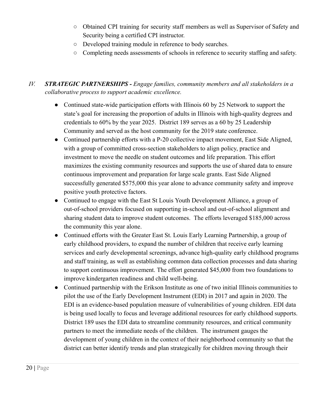- Obtained CPI training for security staff members as well as Supervisor of Safety and Security being a certified CPI instructor.
- Developed training module in reference to body searches.
- Completing needs assessments of schools in reference to security staffing and safety.

#### *IV. STRATEGIC PARTNERSHIPS - Engage families, community members and all stakeholders in a collaborative process to support academic excellence.*

- Continued state-wide participation efforts with Illinois 60 by 25 Network to support the state's goal for increasing the proportion of adults in Illinois with high-quality degrees and credentials to 60% by the year 2025. District 189 serves as a 60 by 25 Leadership Community and served as the host community for the 2019 state conference.
- Continued partnership efforts with a P-20 collective impact movement, East Side Aligned, with a group of committed cross-section stakeholders to align policy, practice and investment to move the needle on student outcomes and life preparation. This effort maximizes the existing community resources and supports the use of shared data to ensure continuous improvement and preparation for large scale grants. East Side Aligned successfully generated \$575,000 this year alone to advance community safety and improve positive youth protective factors.
- Continued to engage with the East St Louis Youth Development Alliance, a group of out-of-school providers focused on supporting in-school and out-of-school alignment and sharing student data to improve student outcomes. The efforts leveraged \$185,000 across the community this year alone.
- Continued efforts with the Greater East St. Louis Early Learning Partnership, a group of early childhood providers, to expand the number of children that receive early learning services and early developmental screenings, advance high-quality early childhood programs and staff training, as well as establishing common data collection processes and data sharing to support continuous improvement. The effort generated \$45,000 from two foundations to improve kindergarten readiness and child well-being.
- Continued partnership with the Erikson Institute as one of two initial Illinois communities to pilot the use of the Early Development Instrument (EDI) in 2017 and again in 2020. The EDI is an evidence-based population measure of vulnerabilities of young children. EDI data is being used locally to focus and leverage additional resources for early childhood supports. District 189 uses the EDI data to streamline community resources, and critical community partners to meet the immediate needs of the children. The instrument gauges the development of young children in the context of their neighborhood community so that the district can better identify trends and plan strategically for children moving through their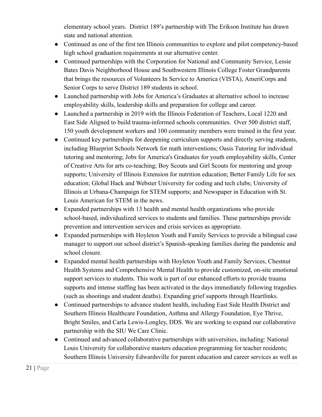elementary school years. District 189's partnership with The Erikson Institute has drawn state and national attention.

- Continued as one of the first ten Illinois communities to explore and pilot competency-based high school graduation requirements at our alternative center.
- Continued partnerships with the Corporation for National and Community Service, Lessie Bates Davis Neighborhood House and Southwestern Illinois College Foster Grandparents that brings the resources of Volunteers In Service to America (VISTA), AmeriCorps and Senior Corps to serve District 189 students in school.
- Launched partnership with Jobs for America's Graduates at alternative school to increase employability skills, leadership skills and preparation for college and career.
- Launched a partnership in 2019 with the Illinois Federation of Teachers, Local 1220 and East Side Aligned to build trauma-informed schools communities. Over 500 district staff, 150 youth development workers and 100 community members were trained in the first year.
- Continued key partnerships for deepening curriculum supports and directly serving students, including Blueprint Schools Network for math interventions; Oasis Tutoring for individual tutoring and mentoring; Jobs for America's Graduates for youth employability skills, Center of Creative Arts for arts co-teaching; Boy Scouts and Girl Scouts for mentoring and group supports; University of Illinois Extension for nutrition education; Better Family Life for sex education; Global Hack and Webster University for coding and tech clubs; University of Illinois at Urbana-Champaign for STEM supports; and Newspaper in Education with St. Louis American for STEM in the news.
- Expanded partnerships with 13 health and mental health organizations who provide school-based, individualized services to students and families. These partnerships provide prevention and intervention services and crisis services as appropriate.
- Expanded partnerships with Hoyleton Youth and Family Services to provide a bilingual case manager to support our school district's Spanish-speaking families during the pandemic and school closure.
- Expanded mental health partnerships with Hoyleton Youth and Family Services, Chestnut Health Systems and Comprehensive Mental Health to provide customized, on-site emotional support services to students. This work is part of our enhanced efforts to provide trauma supports and intense staffing has been activated in the days immediately following tragedies (such as shootings and student deaths). Expanding grief supports through Heartlinks.
- Continued partnerships to advance student health, including East Side Health District and Southern Illinois Healthcare Foundation, Asthma and Allergy Foundation, Eye Thrive, Bright Smiles, and Carla Lewis-Longley, DDS. We are working to expand our collaborative partnership with the SIU We Care Clinic.
- Continued and advanced collaborative partnerships with universities, including: National Louis University for collaborative masters education programming for teacher residents; Southern Illinois University Edwardsville for parent education and career services as well as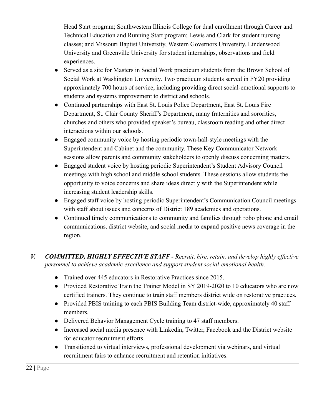Head Start program; Southwestern Illinois College for dual enrollment through Career and Technical Education and Running Start program; Lewis and Clark for student nursing classes; and Missouri Baptist University, Western Governors University, Lindenwood University and Greenville University for student internships, observations and field experiences.

- Served as a site for Masters in Social Work practicum students from the Brown School of Social Work at Washington University. Two practicum students served in FY20 providing approximately 700 hours of service, including providing direct social-emotional supports to students and systems improvement to district and schools.
- Continued partnerships with East St. Louis Police Department, East St. Louis Fire Department, St. Clair County Sheriff's Department, many fraternities and sororities, churches and others who provided speaker's bureau, classroom reading and other direct interactions within our schools.
- Engaged community voice by hosting periodic town-hall-style meetings with the Superintendent and Cabinet and the community. These Key Communicator Network sessions allow parents and community stakeholders to openly discuss concerning matters.
- Engaged student voice by hosting periodic Superintendent's Student Advisory Council meetings with high school and middle school students. These sessions allow students the opportunity to voice concerns and share ideas directly with the Superintendent while increasing student leadership skills.
- Engaged staff voice by hosting periodic Superintendent's Communication Council meetings with staff about issues and concerns of District 189 academics and operations.
- Continued timely communications to community and families through robo phone and email communications, district website, and social media to expand positive news coverage in the region.
- *V. COMMITTED, HIGHLY EFFECTIVE STAFF Recruit, hire, retain, and develop highly effective personnel to achieve academic excellence and support student social-emotional health.* 
	- Trained over 445 educators in Restorative Practices since 2015.
	- Provided Restorative Train the Trainer Model in SY 2019-2020 to 10 educators who are now certified trainers. They continue to train staff members district wide on restorative practices.
	- Provided PBIS training to each PBIS Building Team district-wide, approximately 40 staff members.
	- Delivered Behavior Management Cycle training to 47 staff members.
	- Increased social media presence with Linkedin, Twitter, Facebook and the District website for educator recruitment efforts.
	- Transitioned to virtual interviews, professional development via webinars, and virtual recruitment fairs to enhance recruitment and retention initiatives.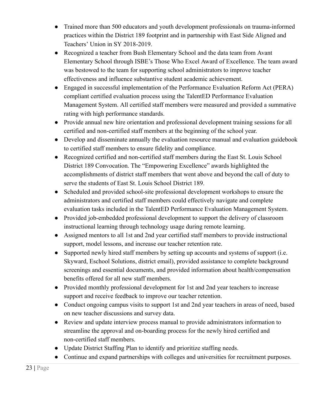- Trained more than 500 educators and youth development professionals on trauma-informed practices within the District 189 footprint and in partnership with East Side Aligned and Teachers' Union in SY 2018-2019.
- Recognized a teacher from Bush Elementary School and the data team from Avant Elementary School through ISBE's Those Who Excel Award of Excellence. The team award was bestowed to the team for supporting school administrators to improve teacher effectiveness and influence substantive student academic achievement.
- Engaged in successful implementation of the Performance Evaluation Reform Act (PERA) compliant certified evaluation process using the TalentED Performance Evaluation Management System. All certified staff members were measured and provided a summative rating with high performance standards.
- Provide annual new hire orientation and professional development training sessions for all certified and non-certified staff members at the beginning of the school year.
- Develop and disseminate annually the evaluation resource manual and evaluation guidebook to certified staff members to ensure fidelity and compliance.
- Recognized certified and non-certified staff members during the East St. Louis School District 189 Convocation. The "Empowering Excellence" awards highlighted the accomplishments of district staff members that went above and beyond the call of duty to serve the students of East St. Louis School District 189.
- Scheduled and provided school-site professional development workshops to ensure the administrators and certified staff members could effectively navigate and complete evaluation tasks included in the TalentED Performance Evaluation Management System.
- Provided job-embedded professional development to support the delivery of classroom instructional learning through technology usage during remote learning.
- Assigned mentors to all 1st and 2nd year certified staff members to provide instructional support, model lessons, and increase our teacher retention rate.
- Supported newly hired staff members by setting up accounts and systems of support (i.e. Skyward, Eschool Solutions, district email), provided assistance to complete background screenings and essential documents, and provided information about health/compensation benefits offered for all new staff members.
- Provided monthly professional development for 1st and 2nd year teachers to increase support and receive feedback to improve our teacher retention.
- Conduct ongoing campus visits to support 1st and 2nd year teachers in areas of need, based on new teacher discussions and survey data.
- Review and update interview process manual to provide administrators information to streamline the approval and on-boarding process for the newly hired certified and non-certified staff members.
- Update District Staffing Plan to identify and prioritize staffing needs.
- Continue and expand partnerships with colleges and universities for recruitment purposes.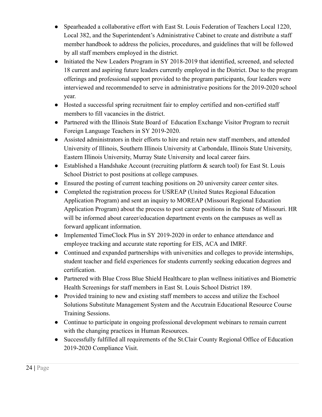- Spearheaded a collaborative effort with East St. Louis Federation of Teachers Local 1220, Local 382, and the Superintendent's Administrative Cabinet to create and distribute a staff member handbook to address the policies, procedures, and guidelines that will be followed by all staff members employed in the district.
- Initiated the New Leaders Program in SY 2018-2019 that identified, screened, and selected 18 current and aspiring future leaders currently employed in the District. Due to the program offerings and professional support provided to the program participants, four leaders were interviewed and recommended to serve in administrative positions for the 2019-2020 school year.
- Hosted a successful spring recruitment fair to employ certified and non-certified staff members to fill vacancies in the district.
- Partnered with the Illinois State Board of Education Exchange Visitor Program to recruit Foreign Language Teachers in SY 2019-2020.
- Assisted administrators in their efforts to hire and retain new staff members, and attended University of Illinois, Southern Illinois University at Carbondale, Illinois State University, Eastern Illinois University, Murray State University and local career fairs.
- $\bullet$  Established a Handshake Account (recruiting platform  $\&$  search tool) for East St. Louis School District to post positions at college campuses.
- Ensured the posting of current teaching positions on 20 university career center sites.
- Completed the registration process for USREAP (United States Regional Education Application Program) and sent an inquiry to MOREAP (Missouri Regional Education Application Program) about the process to post career positions in the State of Missouri. HR will be informed about career/education department events on the campuses as well as forward applicant information.
- Implemented TimeClock Plus in SY 2019-2020 in order to enhance attendance and employee tracking and accurate state reporting for EIS, ACA and IMRF.
- Continued and expanded partnerships with universities and colleges to provide internships, student teacher and field experiences for students currently seeking education degrees and certification.
- Partnered with Blue Cross Blue Shield Healthcare to plan wellness initiatives and Biometric Health Screenings for staff members in East St. Louis School District 189.
- Provided training to new and existing staff members to access and utilize the Eschool Solutions Substitute Management System and the Accutrain Educational Resource Course Training Sessions.
- Continue to participate in ongoing professional development webinars to remain current with the changing practices in Human Resources.
- Successfully fulfilled all requirements of the St.Clair County Regional Office of Education 2019-2020 Compliance Visit.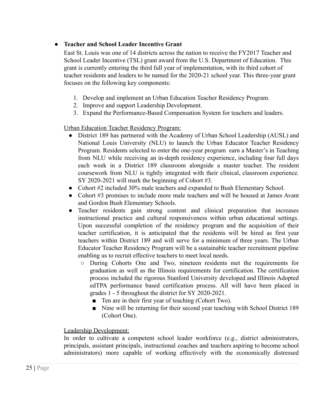#### **● Teacher and School Leader Incentive Grant**

 East St. Louis was one of 14 districts across the nation to receive the FY2017 Teacher and School Leader Incentive (TSL) grant award from the U.S. Department of Education. This grant is currently entering the third full year of implementation, with its third cohort of teacher residents and leaders to be named for the 2020-21 school year. This three-year grant focuses on the following key components:

- 1. Develop and implement an Urban Education Teacher Residency Program.
- 2. Improve and support Leadership Development.
- 3. Expand the Performance-Based Compensation System for teachers and leaders.

Urban Education Teacher Residency Program:

- District 189 has partnered with the Academy of Urban School Leadership (AUSL) and National Louis University (NLU) to launch the Urban Educator Teacher Residency Program. Residents selected to enter the one-year program earn a Master's in Teaching from NLU while receiving an in-depth residency experience, including four full days each week in a District 189 classroom alongside a master teacher. The resident coursework from NLU is tightly integrated with their clinical, classroom experience. SY 2020-2021 will mark the beginning of Cohort #3.
- Cohort #2 included 30% male teachers and expanded to Bush Elementary School.
- Cohort #3 promises to include more male teachers and will be housed at James Avant and Gordon Bush Elementary Schools.
- Teacher residents gain strong content and clinical preparation that increases instructional practice and cultural responsiveness within urban educational settings. Upon successful completion of the residency program and the acquisition of their teacher certification, it is anticipated that the residents will be hired as first year teachers within District 189 and will serve for a minimum of three years. The Urban Educator Teacher Residency Program will be a sustainable teacher recruitment pipeline enabling us to recruit effective teachers to meet local needs.
	- During Cohorts One and Two, nineteen residents met the requirements for graduation as well as the Illinois requirements for certification. The certification process included the rigorous Stanford University developed and Illinois Adopted edTPA performance based certification process. All will have been placed in grades 1 - 5 throughout the district for SY 2020-2021.
		- Ten are in their first year of teaching (Cohort Two).
		- Nine will be returning for their second year teaching with School District 189 (Cohort One).

#### Leadership Development:

In order to cultivate a competent school leader workforce (e.g., district administrators, principals, assistant principals, instructional coaches and teachers aspiring to become school administrators) more capable of working effectively with the economically distressed